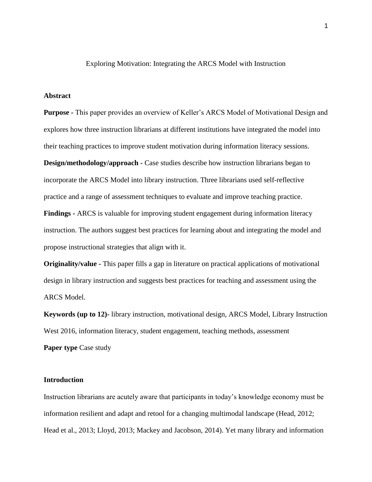Exploring Motivation: Integrating the ARCS Model with Instruction

### **Abstract**

**Purpose -** This paper provides an overview of Keller's ARCS Model of Motivational Design and explores how three instruction librarians at different institutions have integrated the model into their teaching practices to improve student motivation during information literacy sessions.

**Design/methodology/approach -** Case studies describe how instruction librarians began to incorporate the ARCS Model into library instruction. Three librarians used self-reflective practice and a range of assessment techniques to evaluate and improve teaching practice.

**Findings -** ARCS is valuable for improving student engagement during information literacy instruction. The authors suggest best practices for learning about and integrating the model and propose instructional strategies that align with it.

**Originality/value -** This paper fills a gap in literature on practical applications of motivational design in library instruction and suggests best practices for teaching and assessment using the ARCS Model.

**Keywords (up to 12)-** library instruction, motivational design, ARCS Model, Library Instruction West 2016, information literacy, student engagement, teaching methods, assessment **Paper type Case study** 

## **Introduction**

Instruction librarians are acutely aware that participants in today's knowledge economy must be information resilient and adapt and retool for a changing multimodal landscape (Head, 2012; Head et al., 2013; Lloyd, 2013; Mackey and Jacobson, 2014). Yet many library and information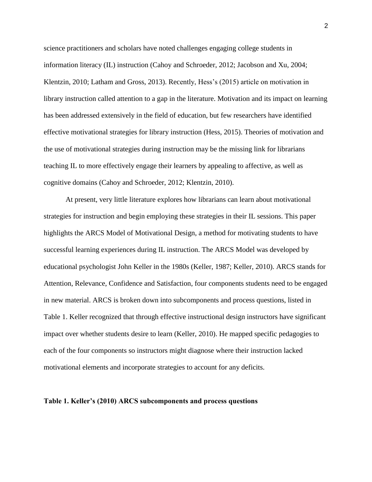science practitioners and scholars have noted challenges engaging college students in information literacy (IL) instruction (Cahoy and Schroeder, 2012; Jacobson and Xu, 2004; Klentzin, 2010; Latham and Gross, 2013). Recently, Hess's (2015) article on motivation in library instruction called attention to a gap in the literature. Motivation and its impact on learning has been addressed extensively in the field of education, but few researchers have identified effective motivational strategies for library instruction (Hess, 2015). Theories of motivation and the use of motivational strategies during instruction may be the missing link for librarians teaching IL to more effectively engage their learners by appealing to affective, as well as cognitive domains (Cahoy and Schroeder, 2012; Klentzin, 2010).

At present, very little literature explores how librarians can learn about motivational strategies for instruction and begin employing these strategies in their IL sessions. This paper highlights the ARCS Model of Motivational Design, a method for motivating students to have successful learning experiences during IL instruction. The ARCS Model was developed by educational psychologist John Keller in the 1980s (Keller, 1987; Keller, 2010). ARCS stands for Attention, Relevance, Confidence and Satisfaction, four components students need to be engaged in new material. ARCS is broken down into subcomponents and process questions, listed in Table 1. Keller recognized that through effective instructional design instructors have significant impact over whether students desire to learn (Keller, 2010). He mapped specific pedagogies to each of the four components so instructors might diagnose where their instruction lacked motivational elements and incorporate strategies to account for any deficits.

## **Table 1. Keller's (2010) ARCS subcomponents and process questions**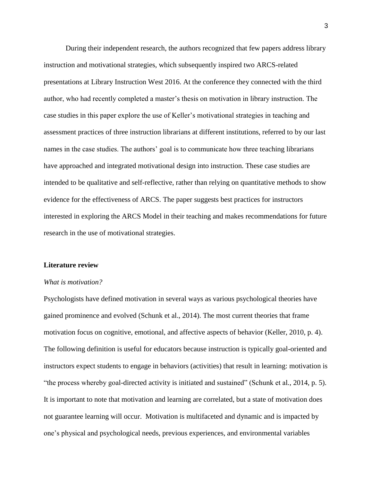During their independent research, the authors recognized that few papers address library instruction and motivational strategies, which subsequently inspired two ARCS-related presentations at Library Instruction West 2016. At the conference they connected with the third author, who had recently completed a master's thesis on motivation in library instruction. The case studies in this paper explore the use of Keller's motivational strategies in teaching and assessment practices of three instruction librarians at different institutions, referred to by our last names in the case studies. The authors' goal is to communicate how three teaching librarians have approached and integrated motivational design into instruction. These case studies are intended to be qualitative and self-reflective, rather than relying on quantitative methods to show evidence for the effectiveness of ARCS. The paper suggests best practices for instructors interested in exploring the ARCS Model in their teaching and makes recommendations for future research in the use of motivational strategies.

### **Literature review**

## *What is motivation?*

Psychologists have defined motivation in several ways as various psychological theories have gained prominence and evolved (Schunk et al., 2014). The most current theories that frame motivation focus on cognitive, emotional, and affective aspects of behavior (Keller, 2010, p. 4). The following definition is useful for educators because instruction is typically goal-oriented and instructors expect students to engage in behaviors (activities) that result in learning: motivation is "the process whereby goal-directed activity is initiated and sustained" (Schunk et al*.*, 2014, p. 5). It is important to note that motivation and learning are correlated, but a state of motivation does not guarantee learning will occur. Motivation is multifaceted and dynamic and is impacted by one's physical and psychological needs, previous experiences, and environmental variables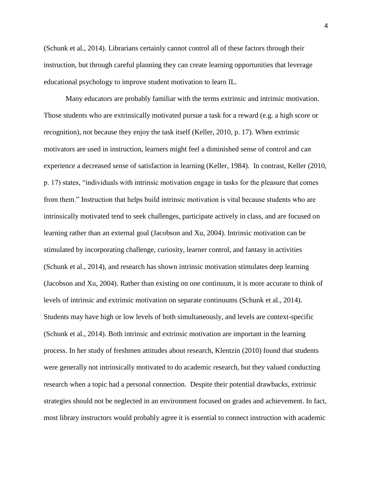(Schunk et al., 2014). Librarians certainly cannot control all of these factors through their instruction, but through careful planning they can create learning opportunities that leverage educational psychology to improve student motivation to learn IL.

Many educators are probably familiar with the terms extrinsic and intrinsic motivation. Those students who are extrinsically motivated pursue a task for a reward (e.g. a high score or recognition), not because they enjoy the task itself (Keller, 2010, p. 17). When extrinsic motivators are used in instruction, learners might feel a diminished sense of control and can experience a decreased sense of satisfaction in learning (Keller, 1984). In contrast, Keller (2010, p. 17) states, "individuals with intrinsic motivation engage in tasks for the pleasure that comes from them." Instruction that helps build intrinsic motivation is vital because students who are intrinsically motivated tend to seek challenges, participate actively in class, and are focused on learning rather than an external goal (Jacobson and Xu, 2004). Intrinsic motivation can be stimulated by incorporating challenge, curiosity, learner control, and fantasy in activities (Schunk et al., 2014), and research has shown intrinsic motivation stimulates deep learning (Jacobson and Xu, 2004). Rather than existing on one continuum, it is more accurate to think of levels of intrinsic and extrinsic motivation on separate continuums (Schunk et al., 2014). Students may have high or low levels of both simultaneously, and levels are context-specific (Schunk et al., 2014). Both intrinsic and extrinsic motivation are important in the learning process. In her study of freshmen attitudes about research, Klentzin (2010) found that students were generally not intrinsically motivated to do academic research, but they valued conducting research when a topic had a personal connection. Despite their potential drawbacks, extrinsic strategies should not be neglected in an environment focused on grades and achievement. In fact, most library instructors would probably agree it is essential to connect instruction with academic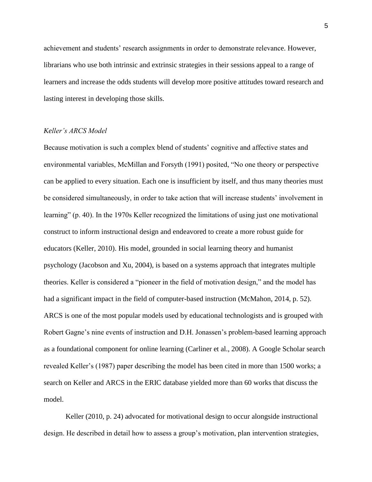achievement and students' research assignments in order to demonstrate relevance. However, librarians who use both intrinsic and extrinsic strategies in their sessions appeal to a range of learners and increase the odds students will develop more positive attitudes toward research and lasting interest in developing those skills.

### *Keller's ARCS Model*

Because motivation is such a complex blend of students' cognitive and affective states and environmental variables, McMillan and Forsyth (1991) posited, "No one theory or perspective can be applied to every situation. Each one is insufficient by itself, and thus many theories must be considered simultaneously, in order to take action that will increase students' involvement in learning" (p. 40). In the 1970s Keller recognized the limitations of using just one motivational construct to inform instructional design and endeavored to create a more robust guide for educators (Keller, 2010). His model, grounded in social learning theory and humanist psychology (Jacobson and Xu, 2004), is based on a systems approach that integrates multiple theories. Keller is considered a "pioneer in the field of motivation design," and the model has had a significant impact in the field of computer-based instruction (McMahon, 2014, p. 52). ARCS is one of the most popular models used by educational technologists and is grouped with Robert Gagne's nine events of instruction and D.H. Jonassen's problem-based learning approach as a foundational component for online learning (Carliner et al., 2008). A Google Scholar search revealed Keller's (1987) paper describing the model has been cited in more than 1500 works; a search on Keller and ARCS in the ERIC database yielded more than 60 works that discuss the model.

Keller (2010, p. 24) advocated for motivational design to occur alongside instructional design. He described in detail how to assess a group's motivation, plan intervention strategies,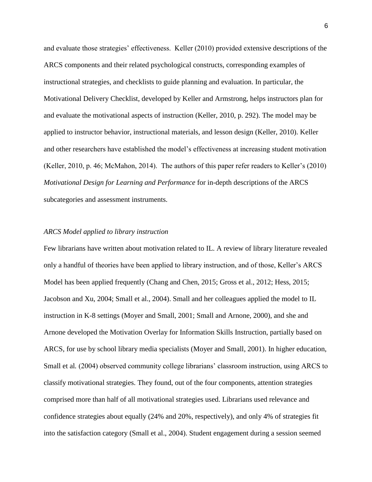and evaluate those strategies' effectiveness. Keller (2010) provided extensive descriptions of the ARCS components and their related psychological constructs, corresponding examples of instructional strategies, and checklists to guide planning and evaluation. In particular, the Motivational Delivery Checklist, developed by Keller and Armstrong, helps instructors plan for and evaluate the motivational aspects of instruction (Keller, 2010, p. 292). The model may be applied to instructor behavior, instructional materials, and lesson design (Keller, 2010). Keller and other researchers have established the model's effectiveness at increasing student motivation (Keller, 2010, p. 46; McMahon, 2014). The authors of this paper refer readers to Keller's (2010) *Motivational Design for Learning and Performance* for in-depth descriptions of the ARCS subcategories and assessment instruments.

## *ARCS Model applied to library instruction*

Few librarians have written about motivation related to IL. A review of library literature revealed only a handful of theories have been applied to library instruction, and of those, Keller's ARCS Model has been applied frequently (Chang and Chen, 2015; Gross et al., 2012; Hess, 2015; Jacobson and Xu, 2004; Small et al., 2004). Small and her colleagues applied the model to IL instruction in K-8 settings (Moyer and Small, 2001; Small and Arnone, 2000), and she and Arnone developed the Motivation Overlay for Information Skills Instruction, partially based on ARCS, for use by school library media specialists (Moyer and Small, 2001). In higher education, Small et al*.* (2004) observed community college librarians' classroom instruction, using ARCS to classify motivational strategies. They found, out of the four components, attention strategies comprised more than half of all motivational strategies used. Librarians used relevance and confidence strategies about equally (24% and 20%, respectively), and only 4% of strategies fit into the satisfaction category (Small et al., 2004). Student engagement during a session seemed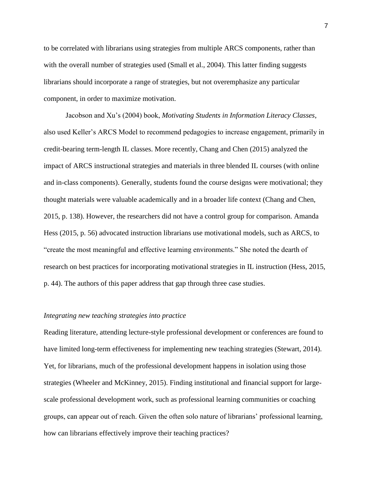to be correlated with librarians using strategies from multiple ARCS components, rather than with the overall number of strategies used (Small et al., 2004). This latter finding suggests librarians should incorporate a range of strategies, but not overemphasize any particular component, in order to maximize motivation.

Jacobson and Xu's (2004) book, *Motivating Students in Information Literacy Classes*, also used Keller's ARCS Model to recommend pedagogies to increase engagement, primarily in credit-bearing term-length IL classes. More recently, Chang and Chen (2015) analyzed the impact of ARCS instructional strategies and materials in three blended IL courses (with online and in-class components). Generally, students found the course designs were motivational; they thought materials were valuable academically and in a broader life context (Chang and Chen, 2015, p. 138). However, the researchers did not have a control group for comparison. Amanda Hess (2015, p. 56) advocated instruction librarians use motivational models, such as ARCS, to "create the most meaningful and effective learning environments." She noted the dearth of research on best practices for incorporating motivational strategies in IL instruction (Hess, 2015, p. 44). The authors of this paper address that gap through three case studies.

## *Integrating new teaching strategies into practice*

Reading literature, attending lecture-style professional development or conferences are found to have limited long-term effectiveness for implementing new teaching strategies (Stewart, 2014). Yet, for librarians, much of the professional development happens in isolation using those strategies (Wheeler and McKinney, 2015). Finding institutional and financial support for largescale professional development work, such as professional learning communities or coaching groups, can appear out of reach. Given the often solo nature of librarians' professional learning, how can librarians effectively improve their teaching practices?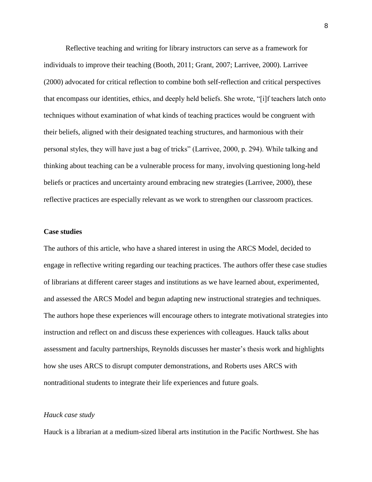Reflective teaching and writing for library instructors can serve as a framework for individuals to improve their teaching (Booth, 2011; Grant, 2007; Larrivee, 2000). Larrivee (2000) advocated for critical reflection to combine both self-reflection and critical perspectives that encompass our identities, ethics, and deeply held beliefs. She wrote, "[i]f teachers latch onto techniques without examination of what kinds of teaching practices would be congruent with their beliefs, aligned with their designated teaching structures, and harmonious with their personal styles, they will have just a bag of tricks" (Larrivee, 2000, p. 294). While talking and thinking about teaching can be a vulnerable process for many, involving questioning long-held beliefs or practices and uncertainty around embracing new strategies (Larrivee, 2000), these reflective practices are especially relevant as we work to strengthen our classroom practices.

### **Case studies**

The authors of this article, who have a shared interest in using the ARCS Model, decided to engage in reflective writing regarding our teaching practices. The authors offer these case studies of librarians at different career stages and institutions as we have learned about, experimented, and assessed the ARCS Model and begun adapting new instructional strategies and techniques. The authors hope these experiences will encourage others to integrate motivational strategies into instruction and reflect on and discuss these experiences with colleagues. Hauck talks about assessment and faculty partnerships, Reynolds discusses her master's thesis work and highlights how she uses ARCS to disrupt computer demonstrations, and Roberts uses ARCS with nontraditional students to integrate their life experiences and future goals.

# *Hauck case study*

Hauck is a librarian at a medium-sized liberal arts institution in the Pacific Northwest. She has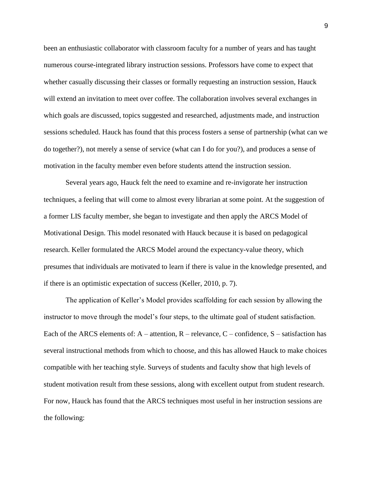been an enthusiastic collaborator with classroom faculty for a number of years and has taught numerous course-integrated library instruction sessions. Professors have come to expect that whether casually discussing their classes or formally requesting an instruction session, Hauck will extend an invitation to meet over coffee. The collaboration involves several exchanges in which goals are discussed, topics suggested and researched, adjustments made, and instruction sessions scheduled. Hauck has found that this process fosters a sense of partnership (what can we do together?), not merely a sense of service (what can I do for you?), and produces a sense of motivation in the faculty member even before students attend the instruction session.

Several years ago, Hauck felt the need to examine and re-invigorate her instruction techniques, a feeling that will come to almost every librarian at some point. At the suggestion of a former LIS faculty member, she began to investigate and then apply the ARCS Model of Motivational Design. This model resonated with Hauck because it is based on pedagogical research. Keller formulated the ARCS Model around the expectancy-value theory, which presumes that individuals are motivated to learn if there is value in the knowledge presented, and if there is an optimistic expectation of success (Keller, 2010, p. 7).

The application of Keller's Model provides scaffolding for each session by allowing the instructor to move through the model's four steps, to the ultimate goal of student satisfaction. Each of the ARCS elements of:  $A$  – attention,  $R$  – relevance,  $C$  – confidence,  $S$  – satisfaction has several instructional methods from which to choose, and this has allowed Hauck to make choices compatible with her teaching style. Surveys of students and faculty show that high levels of student motivation result from these sessions, along with excellent output from student research. For now, Hauck has found that the ARCS techniques most useful in her instruction sessions are the following: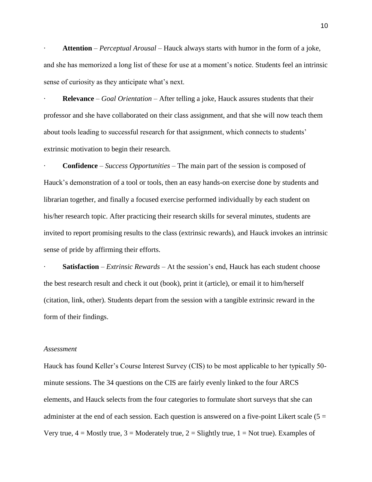· **Attention** – *Perceptual Arousal* – Hauck always starts with humor in the form of a joke, and she has memorized a long list of these for use at a moment's notice. Students feel an intrinsic sense of curiosity as they anticipate what's next.

· **Relevance** – *Goal Orientation* – After telling a joke, Hauck assures students that their professor and she have collaborated on their class assignment, and that she will now teach them about tools leading to successful research for that assignment, which connects to students' extrinsic motivation to begin their research.

· **Confidence** – *Success Opportunities* – The main part of the session is composed of Hauck's demonstration of a tool or tools, then an easy hands-on exercise done by students and librarian together, and finally a focused exercise performed individually by each student on his/her research topic. After practicing their research skills for several minutes, students are invited to report promising results to the class (extrinsic rewards), and Hauck invokes an intrinsic sense of pride by affirming their efforts.

· **Satisfaction** – *Extrinsic Rewards* – At the session's end, Hauck has each student choose the best research result and check it out (book), print it (article), or email it to him/herself (citation, link, other). Students depart from the session with a tangible extrinsic reward in the form of their findings.

### *Assessment*

Hauck has found Keller's Course Interest Survey (CIS) to be most applicable to her typically 50 minute sessions. The 34 questions on the CIS are fairly evenly linked to the four ARCS elements, and Hauck selects from the four categories to formulate short surveys that she can administer at the end of each session. Each question is answered on a five-point Likert scale ( $5 =$ Very true,  $4 =$  Mostly true,  $3 =$  Moderately true,  $2 =$  Slightly true,  $1 =$  Not true). Examples of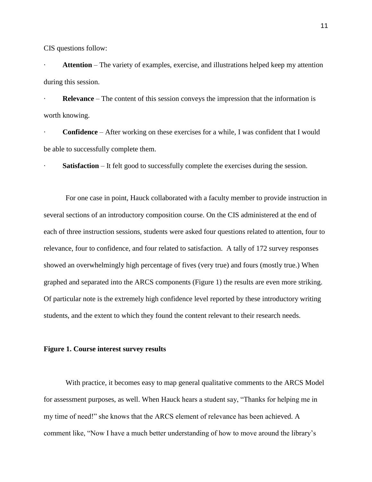CIS questions follow:

Attention – The variety of examples, exercise, and illustrations helped keep my attention during this session.

**Relevance** – The content of this session conveys the impression that the information is worth knowing.

· **Confidence** – After working on these exercises for a while, I was confident that I would be able to successfully complete them.

**Satisfaction** – It felt good to successfully complete the exercises during the session.

For one case in point, Hauck collaborated with a faculty member to provide instruction in several sections of an introductory composition course. On the CIS administered at the end of each of three instruction sessions, students were asked four questions related to attention, four to relevance, four to confidence, and four related to satisfaction. A tally of 172 survey responses showed an overwhelmingly high percentage of fives (very true) and fours (mostly true.) When graphed and separated into the ARCS components (Figure 1) the results are even more striking. Of particular note is the extremely high confidence level reported by these introductory writing students, and the extent to which they found the content relevant to their research needs.

### **Figure 1. Course interest survey results**

With practice, it becomes easy to map general qualitative comments to the ARCS Model for assessment purposes, as well. When Hauck hears a student say, "Thanks for helping me in my time of need!" she knows that the ARCS element of relevance has been achieved. A comment like, "Now I have a much better understanding of how to move around the library's

11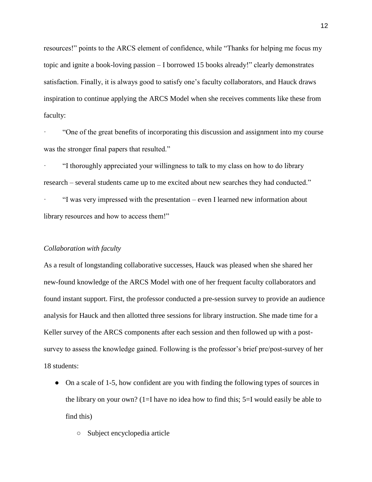resources!" points to the ARCS element of confidence, while "Thanks for helping me focus my topic and ignite a book-loving passion – I borrowed 15 books already!" clearly demonstrates satisfaction. Finally, it is always good to satisfy one's faculty collaborators, and Hauck draws inspiration to continue applying the ARCS Model when she receives comments like these from faculty:

· "One of the great benefits of incorporating this discussion and assignment into my course was the stronger final papers that resulted."

· "I thoroughly appreciated your willingness to talk to my class on how to do library research – several students came up to me excited about new searches they had conducted."

· "I was very impressed with the presentation – even I learned new information about library resources and how to access them!"

### *Collaboration with faculty*

As a result of longstanding collaborative successes, Hauck was pleased when she shared her new-found knowledge of the ARCS Model with one of her frequent faculty collaborators and found instant support. First, the professor conducted a pre-session survey to provide an audience analysis for Hauck and then allotted three sessions for library instruction. She made time for a Keller survey of the ARCS components after each session and then followed up with a postsurvey to assess the knowledge gained. Following is the professor's brief pre/post-survey of her 18 students:

- On a scale of 1-5, how confident are you with finding the following types of sources in the library on your own? (1=I have no idea how to find this; 5=I would easily be able to find this)
	- Subject encyclopedia article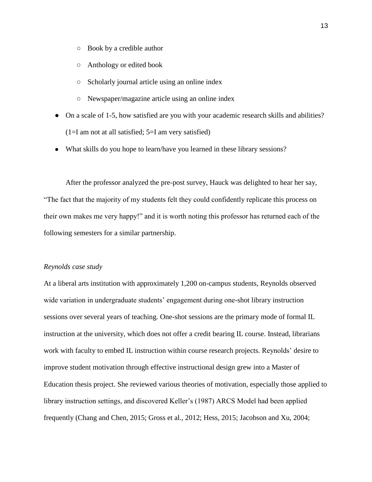- Book by a credible author
- Anthology or edited book
- Scholarly journal article using an online index
- Newspaper/magazine article using an online index
- On a scale of 1-5, how satisfied are you with your academic research skills and abilities?  $(1=I \text{ am not at all satisfied}; 5=I \text{ am very satisfied})$
- What skills do you hope to learn/have you learned in these library sessions?

After the professor analyzed the pre-post survey, Hauck was delighted to hear her say, "The fact that the majority of my students felt they could confidently replicate this process on their own makes me very happy!" and it is worth noting this professor has returned each of the following semesters for a similar partnership.

#### *Reynolds case study*

At a liberal arts institution with approximately 1,200 on-campus students, Reynolds observed wide variation in undergraduate students' engagement during one-shot library instruction sessions over several years of teaching. One-shot sessions are the primary mode of formal IL instruction at the university, which does not offer a credit bearing IL course. Instead, librarians work with faculty to embed IL instruction within course research projects. Reynolds' desire to improve student motivation through effective instructional design grew into a Master of Education thesis project. She reviewed various theories of motivation, especially those applied to library instruction settings, and discovered Keller's (1987) ARCS Model had been applied frequently (Chang and Chen, 2015; Gross et al., 2012; Hess, 2015; Jacobson and Xu, 2004;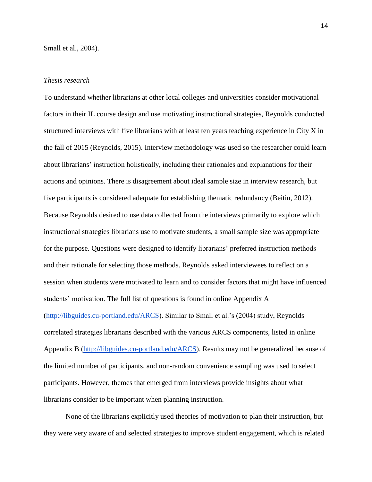# *Thesis research*

To understand whether librarians at other local colleges and universities consider motivational factors in their IL course design and use motivating instructional strategies, Reynolds conducted structured interviews with five librarians with at least ten years teaching experience in City X in the fall of 2015 (Reynolds, 2015). Interview methodology was used so the researcher could learn about librarians' instruction holistically, including their rationales and explanations for their actions and opinions. There is disagreement about ideal sample size in interview research, but five participants is considered adequate for establishing thematic redundancy (Beitin, 2012). Because Reynolds desired to use data collected from the interviews primarily to explore which instructional strategies librarians use to motivate students, a small sample size was appropriate for the purpose. Questions were designed to identify librarians' preferred instruction methods and their rationale for selecting those methods. Reynolds asked interviewees to reflect on a session when students were motivated to learn and to consider factors that might have influenced students' motivation. The full list of questions is found in online Appendix A [\(http://libguides.cu-portland.edu/ARCS\)](http://libguides.cu-portland.edu/ARCS). Similar to Small et al.'s (2004) study, Reynolds correlated strategies librarians described with the various ARCS components, listed in online Appendix B [\(http://libguides.cu-portland.edu/ARCS\)](http://libguides.cu-portland.edu/ARCS). Results may not be generalized because of the limited number of participants, and non-random convenience sampling was used to select participants. However, themes that emerged from interviews provide insights about what librarians consider to be important when planning instruction.

None of the librarians explicitly used theories of motivation to plan their instruction, but they were very aware of and selected strategies to improve student engagement, which is related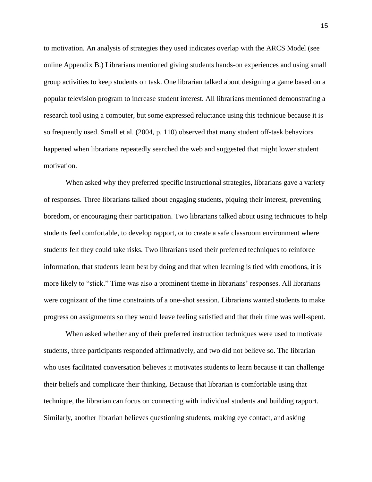to motivation. An analysis of strategies they used indicates overlap with the ARCS Model (see online Appendix B.) Librarians mentioned giving students hands-on experiences and using small group activities to keep students on task. One librarian talked about designing a game based on a popular television program to increase student interest. All librarians mentioned demonstrating a research tool using a computer, but some expressed reluctance using this technique because it is so frequently used. Small et al. (2004, p. 110) observed that many student off-task behaviors happened when librarians repeatedly searched the web and suggested that might lower student motivation.

When asked why they preferred specific instructional strategies, librarians gave a variety of responses. Three librarians talked about engaging students, piquing their interest, preventing boredom, or encouraging their participation. Two librarians talked about using techniques to help students feel comfortable, to develop rapport, or to create a safe classroom environment where students felt they could take risks. Two librarians used their preferred techniques to reinforce information, that students learn best by doing and that when learning is tied with emotions, it is more likely to "stick." Time was also a prominent theme in librarians' responses. All librarians were cognizant of the time constraints of a one-shot session. Librarians wanted students to make progress on assignments so they would leave feeling satisfied and that their time was well-spent.

When asked whether any of their preferred instruction techniques were used to motivate students, three participants responded affirmatively, and two did not believe so. The librarian who uses facilitated conversation believes it motivates students to learn because it can challenge their beliefs and complicate their thinking. Because that librarian is comfortable using that technique, the librarian can focus on connecting with individual students and building rapport. Similarly, another librarian believes questioning students, making eye contact, and asking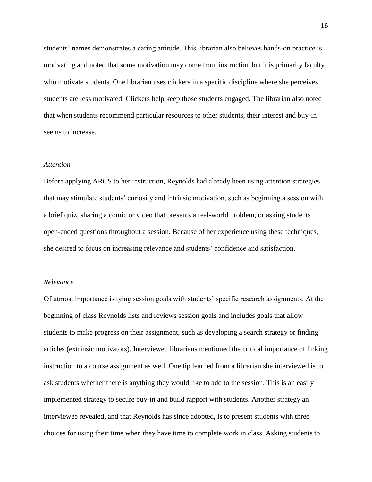students' names demonstrates a caring attitude. This librarian also believes hands-on practice is motivating and noted that some motivation may come from instruction but it is primarily faculty who motivate students. One librarian uses clickers in a specific discipline where she perceives students are less motivated. Clickers help keep those students engaged. The librarian also noted that when students recommend particular resources to other students, their interest and buy-in seems to increase.

### *Attention*

Before applying ARCS to her instruction, Reynolds had already been using attention strategies that may stimulate students' curiosity and intrinsic motivation, such as beginning a session with a brief quiz, sharing a comic or video that presents a real-world problem, or asking students open-ended questions throughout a session. Because of her experience using these techniques, she desired to focus on increasing relevance and students' confidence and satisfaction.

## *Relevance*

Of utmost importance is tying session goals with students' specific research assignments. At the beginning of class Reynolds lists and reviews session goals and includes goals that allow students to make progress on their assignment, such as developing a search strategy or finding articles (extrinsic motivators). Interviewed librarians mentioned the critical importance of linking instruction to a course assignment as well. One tip learned from a librarian she interviewed is to ask students whether there is anything they would like to add to the session. This is an easily implemented strategy to secure buy-in and build rapport with students. Another strategy an interviewee revealed, and that Reynolds has since adopted, is to present students with three choices for using their time when they have time to complete work in class. Asking students to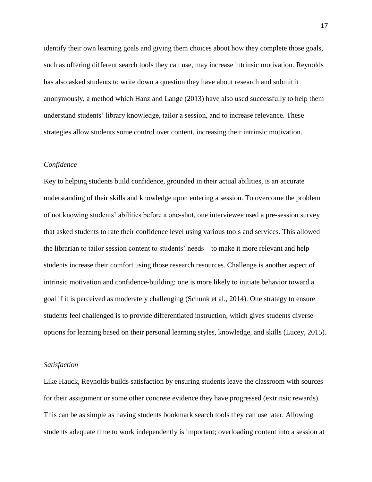identify their own learning goals and giving them choices about how they complete those goals, such as offering different search tools they can use, may increase intrinsic motivation. Reynolds has also asked students to write down a question they have about research and submit it anonymously, a method which Hanz and Lange (2013) have also used successfully to help them understand students' library knowledge, tailor a session, and to increase relevance. These strategies allow students some control over content, increasing their intrinsic motivation.

## *Confidence*

Key to helping students build confidence, grounded in their actual abilities, is an accurate understanding of their skills and knowledge upon entering a session. To overcome the problem of not knowing students' abilities before a one-shot, one interviewee used a pre-session survey that asked students to rate their confidence level using various tools and services. This allowed the librarian to tailor session content to students' needs—to make it more relevant and help students increase their comfort using those research resources. Challenge is another aspect of intrinsic motivation and confidence-building: one is more likely to initiate behavior toward a goal if it is perceived as moderately challenging (Schunk et al., 2014). One strategy to ensure students feel challenged is to provide differentiated instruction, which gives students diverse options for learning based on their personal learning styles, knowledge, and skills (Lucey, 2015).

## *Satisfaction*

Like Hauck, Reynolds builds satisfaction by ensuring students leave the classroom with sources for their assignment or some other concrete evidence they have progressed (extrinsic rewards). This can be as simple as having students bookmark search tools they can use later. Allowing students adequate time to work independently is important; overloading content into a session at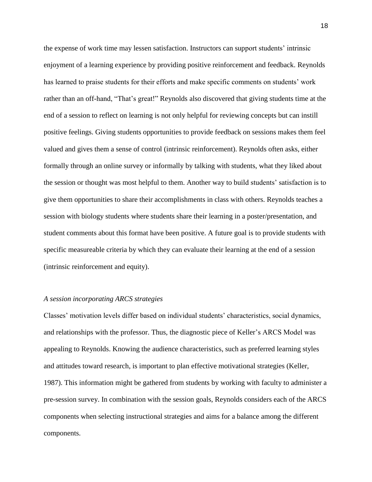the expense of work time may lessen satisfaction. Instructors can support students' intrinsic enjoyment of a learning experience by providing positive reinforcement and feedback. Reynolds has learned to praise students for their efforts and make specific comments on students' work rather than an off-hand, "That's great!" Reynolds also discovered that giving students time at the end of a session to reflect on learning is not only helpful for reviewing concepts but can instill positive feelings. Giving students opportunities to provide feedback on sessions makes them feel valued and gives them a sense of control (intrinsic reinforcement). Reynolds often asks, either formally through an online survey or informally by talking with students, what they liked about the session or thought was most helpful to them. Another way to build students' satisfaction is to give them opportunities to share their accomplishments in class with others. Reynolds teaches a session with biology students where students share their learning in a poster/presentation, and student comments about this format have been positive. A future goal is to provide students with specific measureable criteria by which they can evaluate their learning at the end of a session (intrinsic reinforcement and equity).

## *A session incorporating ARCS strategies*

Classes' motivation levels differ based on individual students' characteristics, social dynamics, and relationships with the professor. Thus, the diagnostic piece of Keller's ARCS Model was appealing to Reynolds. Knowing the audience characteristics, such as preferred learning styles and attitudes toward research, is important to plan effective motivational strategies (Keller, 1987). This information might be gathered from students by working with faculty to administer a pre-session survey. In combination with the session goals, Reynolds considers each of the ARCS components when selecting instructional strategies and aims for a balance among the different components.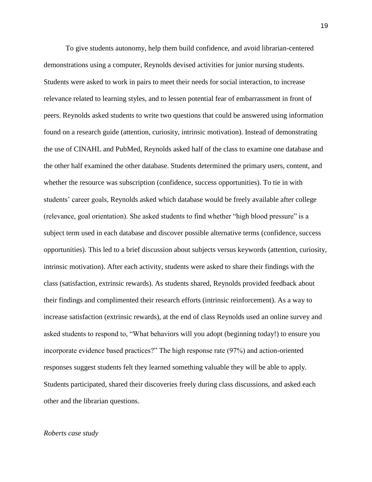To give students autonomy, help them build confidence, and avoid librarian-centered demonstrations using a computer, Reynolds devised activities for junior nursing students. Students were asked to work in pairs to meet their needs for social interaction, to increase relevance related to learning styles, and to lessen potential fear of embarrassment in front of peers. Reynolds asked students to write two questions that could be answered using information found on a research guide (attention, curiosity, intrinsic motivation). Instead of demonstrating the use of CINAHL and PubMed, Reynolds asked half of the class to examine one database and the other half examined the other database. Students determined the primary users, content, and whether the resource was subscription (confidence, success opportunities). To tie in with students' career goals, Reynolds asked which database would be freely available after college (relevance, goal orientation). She asked students to find whether "high blood pressure" is a subject term used in each database and discover possible alternative terms (confidence, success opportunities). This led to a brief discussion about subjects versus keywords (attention, curiosity, intrinsic motivation). After each activity, students were asked to share their findings with the class (satisfaction, extrinsic rewards). As students shared, Reynolds provided feedback about their findings and complimented their research efforts (intrinsic reinforcement). As a way to increase satisfaction (extrinsic rewards), at the end of class Reynolds used an online survey and asked students to respond to, "What behaviors will you adopt (beginning today!) to ensure you incorporate evidence based practices?" The high response rate (97%) and action-oriented responses suggest students felt they learned something valuable they will be able to apply. Students participated, shared their discoveries freely during class discussions, and asked each other and the librarian questions.

### *Roberts case study*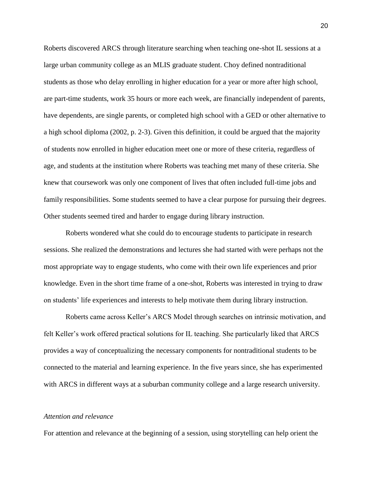Roberts discovered ARCS through literature searching when teaching one-shot IL sessions at a large urban community college as an MLIS graduate student. Choy defined nontraditional students as those who delay enrolling in higher education for a year or more after high school, are part-time students, work 35 hours or more each week, are financially independent of parents, have dependents, are single parents, or completed high school with a GED or other alternative to a high school diploma (2002, p. 2-3). Given this definition, it could be argued that the majority of students now enrolled in higher education meet one or more of these criteria, regardless of age, and students at the institution where Roberts was teaching met many of these criteria. She knew that coursework was only one component of lives that often included full-time jobs and family responsibilities. Some students seemed to have a clear purpose for pursuing their degrees. Other students seemed tired and harder to engage during library instruction.

Roberts wondered what she could do to encourage students to participate in research sessions. She realized the demonstrations and lectures she had started with were perhaps not the most appropriate way to engage students, who come with their own life experiences and prior knowledge. Even in the short time frame of a one-shot, Roberts was interested in trying to draw on students' life experiences and interests to help motivate them during library instruction.

Roberts came across Keller's ARCS Model through searches on intrinsic motivation, and felt Keller's work offered practical solutions for IL teaching. She particularly liked that ARCS provides a way of conceptualizing the necessary components for nontraditional students to be connected to the material and learning experience. In the five years since, she has experimented with ARCS in different ways at a suburban community college and a large research university.

# *Attention and relevance*

For attention and relevance at the beginning of a session, using storytelling can help orient the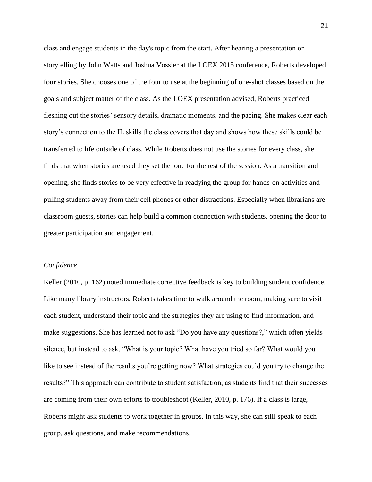class and engage students in the day's topic from the start. After hearing a presentation on storytelling by John Watts and Joshua Vossler at the LOEX 2015 conference, Roberts developed four stories. She chooses one of the four to use at the beginning of one-shot classes based on the goals and subject matter of the class. As the LOEX presentation advised, Roberts practiced fleshing out the stories' sensory details, dramatic moments, and the pacing. She makes clear each story's connection to the IL skills the class covers that day and shows how these skills could be transferred to life outside of class. While Roberts does not use the stories for every class, she finds that when stories are used they set the tone for the rest of the session. As a transition and opening, she finds stories to be very effective in readying the group for hands-on activities and pulling students away from their cell phones or other distractions. Especially when librarians are classroom guests, stories can help build a common connection with students, opening the door to greater participation and engagement.

## *Confidence*

Keller (2010, p. 162) noted immediate corrective feedback is key to building student confidence. Like many library instructors, Roberts takes time to walk around the room, making sure to visit each student, understand their topic and the strategies they are using to find information, and make suggestions. She has learned not to ask "Do you have any questions?," which often yields silence, but instead to ask, "What is your topic? What have you tried so far? What would you like to see instead of the results you're getting now? What strategies could you try to change the results?" This approach can contribute to student satisfaction, as students find that their successes are coming from their own efforts to troubleshoot (Keller, 2010, p. 176). If a class is large, Roberts might ask students to work together in groups. In this way, she can still speak to each group, ask questions, and make recommendations.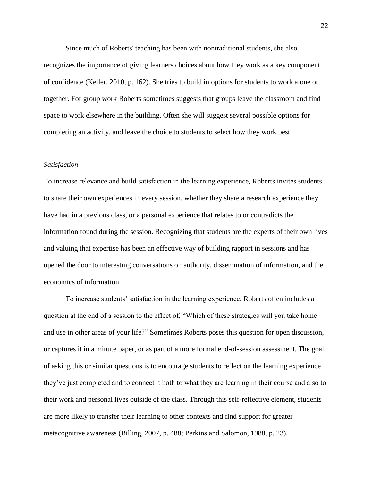Since much of Roberts' teaching has been with nontraditional students, she also recognizes the importance of giving learners choices about how they work as a key component of confidence (Keller, 2010, p. 162). She tries to build in options for students to work alone or together. For group work Roberts sometimes suggests that groups leave the classroom and find space to work elsewhere in the building. Often she will suggest several possible options for completing an activity, and leave the choice to students to select how they work best.

### *Satisfaction*

To increase relevance and build satisfaction in the learning experience, Roberts invites students to share their own experiences in every session, whether they share a research experience they have had in a previous class, or a personal experience that relates to or contradicts the information found during the session. Recognizing that students are the experts of their own lives and valuing that expertise has been an effective way of building rapport in sessions and has opened the door to interesting conversations on authority, dissemination of information, and the economics of information.

To increase students' satisfaction in the learning experience, Roberts often includes a question at the end of a session to the effect of, "Which of these strategies will you take home and use in other areas of your life?" Sometimes Roberts poses this question for open discussion, or captures it in a minute paper, or as part of a more formal end-of-session assessment. The goal of asking this or similar questions is to encourage students to reflect on the learning experience they've just completed and to connect it both to what they are learning in their course and also to their work and personal lives outside of the class. Through this self-reflective element, students are more likely to transfer their learning to other contexts and find support for greater metacognitive awareness (Billing, 2007, p. 488; Perkins and Salomon, 1988, p. 23).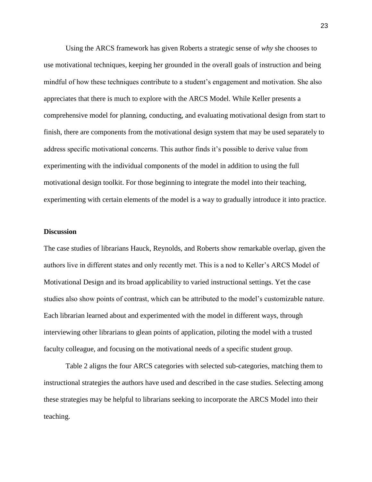Using the ARCS framework has given Roberts a strategic sense of *why* she chooses to use motivational techniques, keeping her grounded in the overall goals of instruction and being mindful of how these techniques contribute to a student's engagement and motivation. She also appreciates that there is much to explore with the ARCS Model. While Keller presents a comprehensive model for planning, conducting, and evaluating motivational design from start to finish, there are components from the motivational design system that may be used separately to address specific motivational concerns. This author finds it's possible to derive value from experimenting with the individual components of the model in addition to using the full motivational design toolkit. For those beginning to integrate the model into their teaching, experimenting with certain elements of the model is a way to gradually introduce it into practice.

### **Discussion**

The case studies of librarians Hauck, Reynolds, and Roberts show remarkable overlap, given the authors live in different states and only recently met. This is a nod to Keller's ARCS Model of Motivational Design and its broad applicability to varied instructional settings. Yet the case studies also show points of contrast, which can be attributed to the model's customizable nature. Each librarian learned about and experimented with the model in different ways, through interviewing other librarians to glean points of application, piloting the model with a trusted faculty colleague, and focusing on the motivational needs of a specific student group.

Table 2 aligns the four ARCS categories with selected sub-categories, matching them to instructional strategies the authors have used and described in the case studies. Selecting among these strategies may be helpful to librarians seeking to incorporate the ARCS Model into their teaching.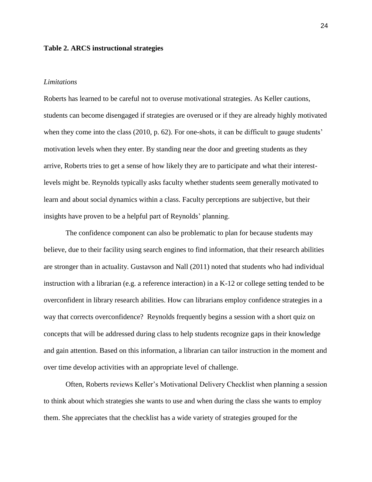### **Table 2. ARCS instructional strategies**

#### *Limitations*

Roberts has learned to be careful not to overuse motivational strategies. As Keller cautions, students can become disengaged if strategies are overused or if they are already highly motivated when they come into the class (2010, p. 62). For one-shots, it can be difficult to gauge students' motivation levels when they enter. By standing near the door and greeting students as they arrive, Roberts tries to get a sense of how likely they are to participate and what their interestlevels might be. Reynolds typically asks faculty whether students seem generally motivated to learn and about social dynamics within a class. Faculty perceptions are subjective, but their insights have proven to be a helpful part of Reynolds' planning.

The confidence component can also be problematic to plan for because students may believe, due to their facility using search engines to find information, that their research abilities are stronger than in actuality. Gustavson and Nall (2011) noted that students who had individual instruction with a librarian (e.g. a reference interaction) in a K-12 or college setting tended to be overconfident in library research abilities. How can librarians employ confidence strategies in a way that corrects overconfidence? Reynolds frequently begins a session with a short quiz on concepts that will be addressed during class to help students recognize gaps in their knowledge and gain attention. Based on this information, a librarian can tailor instruction in the moment and over time develop activities with an appropriate level of challenge.

Often, Roberts reviews Keller's Motivational Delivery Checklist when planning a session to think about which strategies she wants to use and when during the class she wants to employ them. She appreciates that the checklist has a wide variety of strategies grouped for the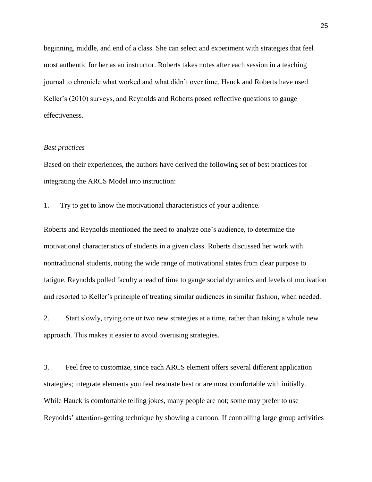beginning, middle, and end of a class. She can select and experiment with strategies that feel most authentic for her as an instructor. Roberts takes notes after each session in a teaching journal to chronicle what worked and what didn't over time. Hauck and Roberts have used Keller's (2010) surveys, and Reynolds and Roberts posed reflective questions to gauge effectiveness.

#### *Best practices*

Based on their experiences, the authors have derived the following set of best practices for integrating the ARCS Model into instruction:

1. Try to get to know the motivational characteristics of your audience.

Roberts and Reynolds mentioned the need to analyze one's audience, to determine the motivational characteristics of students in a given class. Roberts discussed her work with nontraditional students, noting the wide range of motivational states from clear purpose to fatigue. Reynolds polled faculty ahead of time to gauge social dynamics and levels of motivation and resorted to Keller's principle of treating similar audiences in similar fashion, when needed.

2. Start slowly, trying one or two new strategies at a time, rather than taking a whole new approach. This makes it easier to avoid overusing strategies.

3. Feel free to customize, since each ARCS element offers several different application strategies; integrate elements you feel resonate best or are most comfortable with initially. While Hauck is comfortable telling jokes, many people are not; some may prefer to use Reynolds' attention-getting technique by showing a cartoon. If controlling large group activities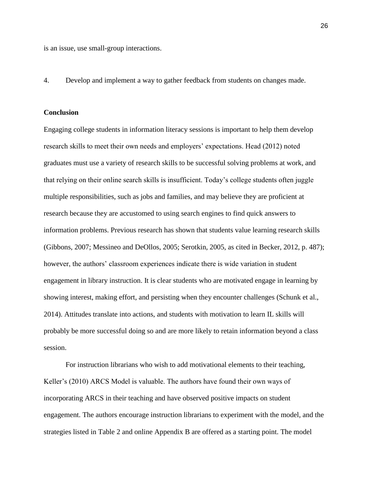is an issue, use small-group interactions.

4. Develop and implement a way to gather feedback from students on changes made.

### **Conclusion**

Engaging college students in information literacy sessions is important to help them develop research skills to meet their own needs and employers' expectations. Head (2012) noted graduates must use a variety of research skills to be successful solving problems at work, and that relying on their online search skills is insufficient. Today's college students often juggle multiple responsibilities, such as jobs and families, and may believe they are proficient at research because they are accustomed to using search engines to find quick answers to information problems. Previous research has shown that students value learning research skills (Gibbons, 2007; Messineo and DeOllos, 2005; Serotkin, 2005, as cited in Becker, 2012, p. 487); however, the authors' classroom experiences indicate there is wide variation in student engagement in library instruction. It is clear students who are motivated engage in learning by showing interest, making effort, and persisting when they encounter challenges (Schunk et al., 2014). Attitudes translate into actions, and students with motivation to learn IL skills will probably be more successful doing so and are more likely to retain information beyond a class session.

For instruction librarians who wish to add motivational elements to their teaching, Keller's (2010) ARCS Model is valuable. The authors have found their own ways of incorporating ARCS in their teaching and have observed positive impacts on student engagement. The authors encourage instruction librarians to experiment with the model, and the strategies listed in Table 2 and online Appendix B are offered as a starting point. The model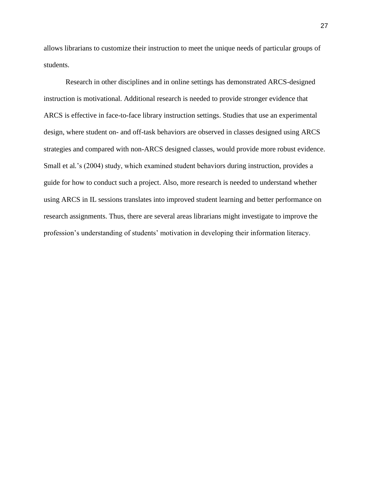allows librarians to customize their instruction to meet the unique needs of particular groups of students.

Research in other disciplines and in online settings has demonstrated ARCS-designed instruction is motivational. Additional research is needed to provide stronger evidence that ARCS is effective in face-to-face library instruction settings. Studies that use an experimental design, where student on- and off-task behaviors are observed in classes designed using ARCS strategies and compared with non-ARCS designed classes, would provide more robust evidence. Small et al*.*'s (2004) study, which examined student behaviors during instruction, provides a guide for how to conduct such a project. Also, more research is needed to understand whether using ARCS in IL sessions translates into improved student learning and better performance on research assignments. Thus, there are several areas librarians might investigate to improve the profession's understanding of students' motivation in developing their information literacy.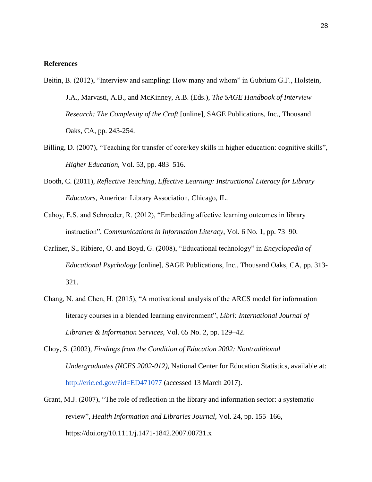### **References**

- Beitin, B. (2012), "Interview and sampling: How many and whom" in Gubrium G.F., Holstein, J.A., Marvasti, A.B., and McKinney, A.B. (Eds.), *The SAGE Handbook of Interview Research: The Complexity of the Craft* [online], SAGE Publications, Inc., Thousand Oaks, CA, pp. 243-254.
- Billing, D. (2007), "Teaching for transfer of core/key skills in higher education: cognitive skills", *Higher Education*, Vol. 53, pp. 483–516.
- Booth, C. (2011), *Reflective Teaching, Effective Learning: Instructional Literacy for Library Educators*, American Library Association, Chicago, IL.
- Cahoy, E.S. and Schroeder, R. (2012), "Embedding affective learning outcomes in library instruction", *Communications in Information Literacy*, Vol. 6 No. 1, pp. 73–90.
- Carliner, S., Ribiero, O. and Boyd, G. (2008), "Educational technology" in *Encyclopedia of Educational Psychology* [online], SAGE Publications, Inc., Thousand Oaks, CA, pp. 313- 321.
- Chang, N. and Chen, H. (2015), "A motivational analysis of the ARCS model for information literacy courses in a blended learning environment", *Libri: International Journal of Libraries & Information Services*, Vol. 65 No. 2, pp. 129–42.
- Choy, S. (2002), *Findings from the Condition of Education 2002: Nontraditional Undergraduates (NCES 2002-012)*, National Center for Education Statistics, available at: <http://eric.ed.gov/?id=ED471077> (accessed 13 March 2017).
- Grant, M.J. (2007), "The role of reflection in the library and information sector: a systematic review", *Health Information and Libraries Journal*, Vol. 24, pp. 155–166, https://doi.org/10.1111/j.1471-1842.2007.00731.x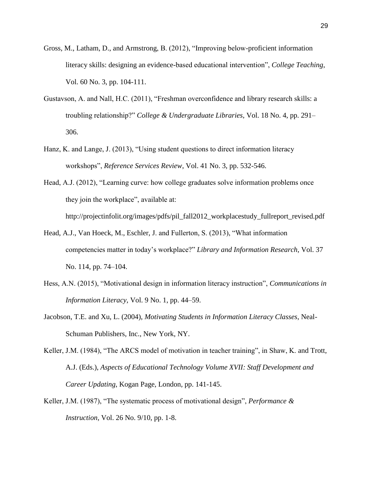- Gross, M., Latham, D., and Armstrong, B. (2012), "Improving below-proficient information literacy skills: designing an evidence-based educational intervention", *College Teaching*, Vol. 60 No. 3, pp. 104-111.
- Gustavson, A. and Nall, H.C. (2011), "Freshman overconfidence and library research skills: a troubling relationship?" *College & Undergraduate Libraries*, Vol. 18 No. 4, pp. 291– 306.
- Hanz, K. and Lange, J. (2013), "Using student questions to direct information literacy workshops", *Reference Services Review*, Vol. 41 No. 3, pp. 532-546.
- Head, A.J. (2012), "Learning curve: how college graduates solve information problems once they join the workplace", available at:
	- http://projectinfolit.org/images/pdfs/pil\_fall2012\_workplacestudy\_fullreport\_revised.pdf
- Head, A.J., Van Hoeck, M., Eschler, J. and Fullerton, S. (2013), "What information competencies matter in today's workplace?" *Library and Information Research*, Vol. 37 No. 114, pp. 74–104.
- Hess, A.N. (2015), "Motivational design in information literacy instruction", *Communications in Information Literacy*, Vol. 9 No. 1, pp. 44–59.
- Jacobson, T.E. and Xu, L. (2004), *Motivating Students in Information Literacy Classes*, Neal-Schuman Publishers, Inc., New York, NY.

Keller, J.M. (1984), "The ARCS model of motivation in teacher training", in Shaw, K. and Trott, A.J. (Eds.), *Aspects of Educational Technology Volume XVII: Staff Development and Career Updating*, Kogan Page, London, pp. 141-145.

Keller, J.M. (1987), "The systematic process of motivational design", *Performance & Instruction*, Vol. 26 No. 9/10, pp. 1-8.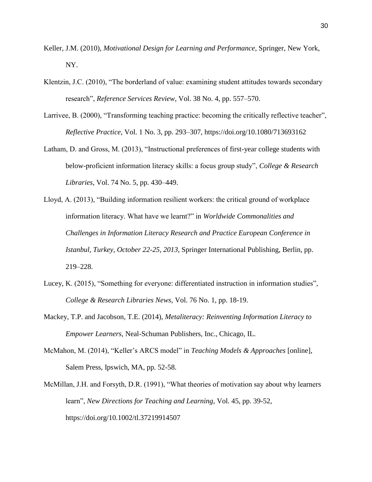- Keller, J.M. (2010), *Motivational Design for Learning and Performance*, Springer, New York, NY.
- Klentzin, J.C. (2010), "The borderland of value: examining student attitudes towards secondary research", *Reference Services Review*, Vol. 38 No. 4, pp. 557–570.
- Larrivee, B. (2000), "Transforming teaching practice: becoming the critically reflective teacher", *Reflective Practice*, Vol. 1 No. 3, pp. 293–307, https://doi.org/10.1080/713693162
- Latham, D. and Gross, M. (2013), "Instructional preferences of first-year college students with below-proficient information literacy skills: a focus group study", *College & Research Libraries*, Vol. 74 No. 5, pp. 430–449.
- Lloyd, A. (2013), "Building information resilient workers: the critical ground of workplace information literacy. What have we learnt?" in *Worldwide Commonalities and Challenges in Information Literacy Research and Practice European Conference in Istanbul, Turkey, October 22-25, 2013*, Springer International Publishing, Berlin, pp. 219–228.
- Lucey, K. (2015), "Something for everyone: differentiated instruction in information studies", *College & Research Libraries News*, Vol. 76 No. 1, pp. 18-19.
- Mackey, T.P. and Jacobson, T.E. (2014), *Metaliteracy: Reinventing Information Literacy to Empower Learners*, Neal-Schuman Publishers, Inc., Chicago, IL.
- McMahon, M. (2014), "Keller's ARCS model" in *Teaching Models & Approaches* [online], Salem Press, Ipswich, MA, pp. 52-58.
- McMillan, J.H. and Forsyth, D.R. (1991), "What theories of motivation say about why learners learn", *New Directions for Teaching and Learning*, Vol. 45, pp. 39-52, https://doi.org/10.1002/tl.37219914507